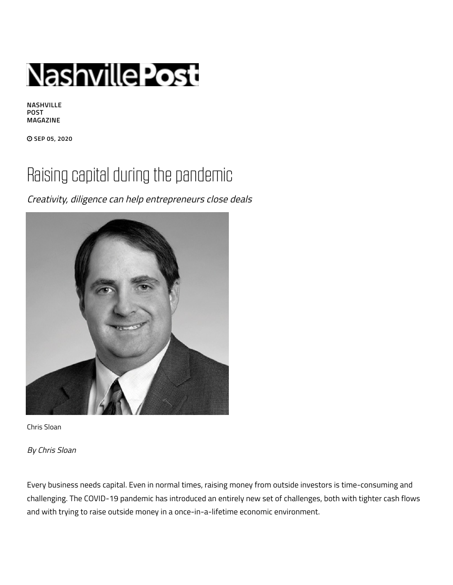

**NASHVILLE POST MAGAZINE**

 **SEP 05, 2020**

## Raising capital during the pandemic

Creativity, diligence can help entrepreneurs close deals



Chris Sloan

By Chris Sloan

Every business needs capital. Even in normal times, raising money from outside investors is time-consuming and challenging. The COVID-19 pandemic has introduced an entirely new set of challenges, both with tighter cash flows and with trying to raise outside money in a once-in-a-lifetime economic environment.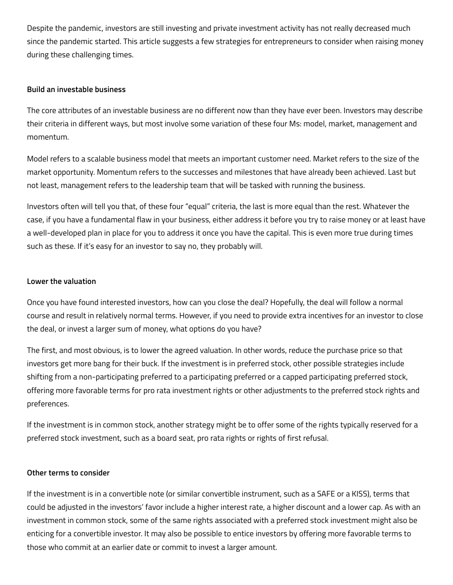Despite the pandemic, investors are still investing and private investment activity has not really decreased much since the pandemic started. This article suggests a few strategies for entrepreneurs to consider when raising money during these challenging times.

## **Build an investable business**

The core attributes of an investable business are no different now than they have ever been. Investors may describe their criteria in different ways, but most involve some variation of these four Ms: model, market, management and momentum.

Model refers to a scalable business model that meets an important customer need. Market refers to the size of the market opportunity. Momentum refers to the successes and milestones that have already been achieved. Last but not least, management refers to the leadership team that will be tasked with running the business.

Investors often will tell you that, of these four "equal" criteria, the last is more equal than the rest. Whatever the case, if you have a fundamental flaw in your business, either address it before you try to raise money or at least have a well-developed plan in place for you to address it once you have the capital. This is even more true during times such as these. If it's easy for an investor to say no, they probably will.

## **Lower the valuation**

Once you have found interested investors, how can you close the deal? Hopefully, the deal will follow a normal course and result in relatively normal terms. However, if you need to provide extra incentives for an investor to close the deal, or invest a larger sum of money, what options do you have?

The first, and most obvious, is to lower the agreed valuation. In other words, reduce the purchase price so that investors get more bang for their buck. If the investment is in preferred stock, other possible strategies include shifting from a non-participating preferred to a participating preferred or a capped participating preferred stock, offering more favorable terms for pro rata investment rights or other adjustments to the preferred stock rights and preferences.

If the investment is in common stock, another strategy might be to offer some of the rights typically reserved for a preferred stock investment, such as a board seat, pro rata rights or rights of first refusal.

## **Other terms to consider**

If the investment is in a convertible note (or similar convertible instrument, such as a SAFE or a KISS), terms that could be adjusted in the investors' favor include a higher interest rate, a higher discount and a lower cap. As with an investment in common stock, some of the same rights associated with a preferred stock investment might also be enticing for a convertible investor. It may also be possible to entice investors by offering more favorable terms to those who commit at an earlier date or commit to invest a larger amount.